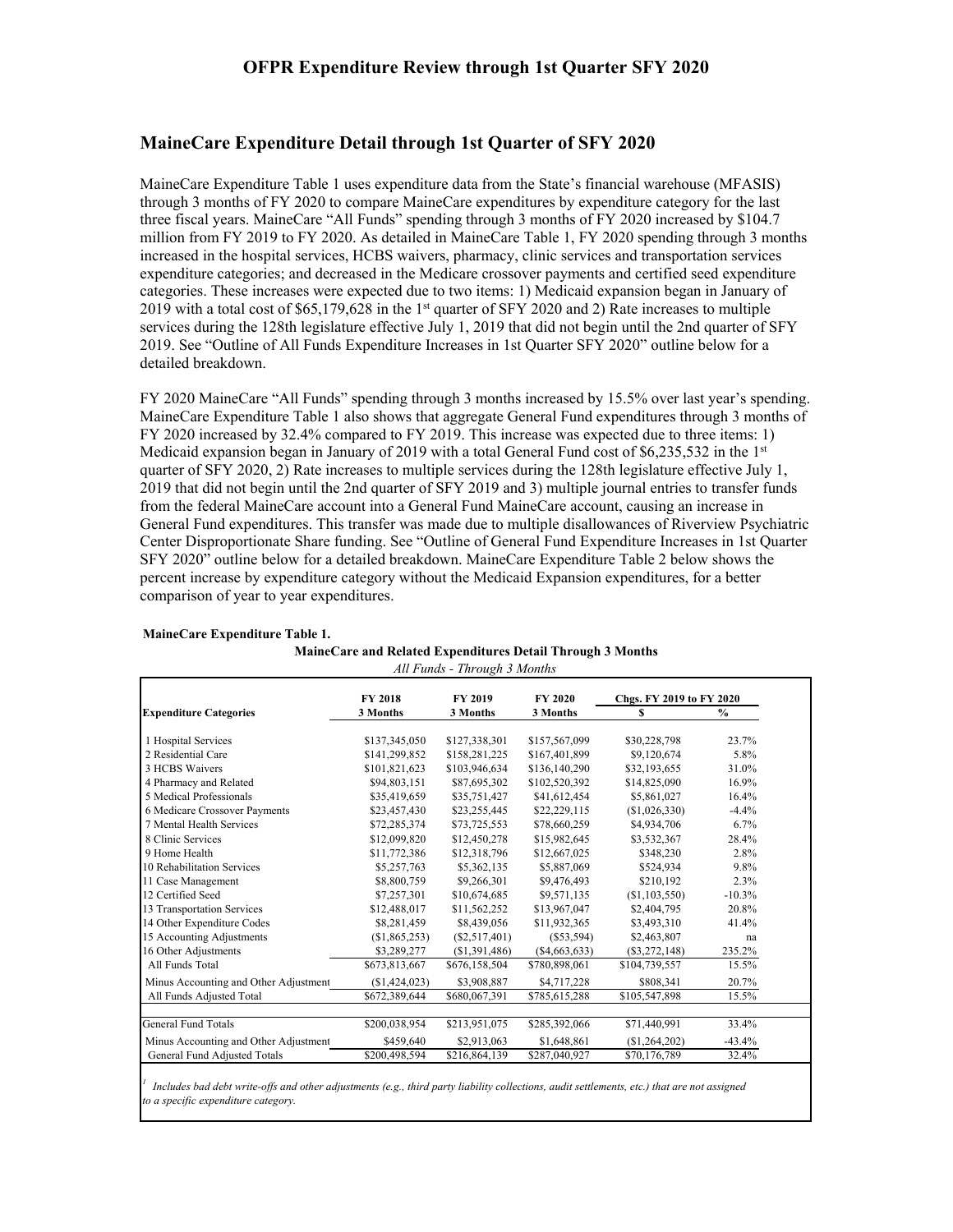### **MaineCare Expenditure Detail through 1st Quarter of SFY 2020**

MaineCare Expenditure Table 1 uses expenditure data from the State's financial warehouse (MFASIS) through 3 months of FY 2020 to compare MaineCare expenditures by expenditure category for the last three fiscal years. MaineCare "All Funds" spending through 3 months of FY 2020 increased by \$104.7 million from FY 2019 to FY 2020. As detailed in MaineCare Table 1, FY 2020 spending through 3 months increased in the hospital services, HCBS waivers, pharmacy, clinic services and transportation services expenditure categories; and decreased in the Medicare crossover payments and certified seed expenditure categories. These increases were expected due to two items: 1) Medicaid expansion began in January of 2019 with a total cost of \$65,179,628 in the 1st quarter of SFY 2020 and 2) Rate increases to multiple services during the 128th legislature effective July 1, 2019 that did not begin until the 2nd quarter of SFY 2019. See "Outline of All Funds Expenditure Increases in 1st Quarter SFY 2020" outline below for a detailed breakdown.

FY 2020 MaineCare "All Funds" spending through 3 months increased by 15.5% over last year's spending. MaineCare Expenditure Table 1 also shows that aggregate General Fund expenditures through 3 months of FY 2020 increased by 32.4% compared to FY 2019. This increase was expected due to three items: 1) Medicaid expansion began in January of 2019 with a total General Fund cost of  $$6,235,532$  in the 1st quarter of SFY 2020, 2) Rate increases to multiple services during the 128th legislature effective July 1, 2019 that did not begin until the 2nd quarter of SFY 2019 and 3) multiple journal entries to transfer funds from the federal MaineCare account into a General Fund MaineCare account, causing an increase in General Fund expenditures. This transfer was made due to multiple disallowances of Riverview Psychiatric Center Disproportionate Share funding. See "Outline of General Fund Expenditure Increases in 1st Quarter SFY 2020" outline below for a detailed breakdown. MaineCare Expenditure Table 2 below shows the percent increase by expenditure category without the Medicaid Expansion expenditures, for a better comparison of year to year expenditures.

|                                       | <b>FY 2018</b> | <b>FY 2019</b> | FY 2020         | Chgs. FY 2019 to FY 2020 |               |  |
|---------------------------------------|----------------|----------------|-----------------|--------------------------|---------------|--|
| <b>Expenditure Categories</b>         | 3 Months       | 3 Months       | 3 Months        | S                        | $\frac{0}{0}$ |  |
| 1 Hospital Services                   | \$137,345,050  | \$127,338,301  | \$157,567,099   | \$30,228,798             | 23.7%         |  |
| 2 Residential Care                    | \$141,299,852  | \$158,281,225  | \$167,401,899   | \$9,120,674              | 5.8%          |  |
| 3 HCBS Waivers                        | \$101,821,623  | \$103,946,634  | \$136,140,290   | \$32,193,655             | 31.0%         |  |
| 4 Pharmacy and Related                | \$94,803,151   | \$87,695,302   | \$102,520,392   | \$14,825,090             | 16.9%         |  |
| 5 Medical Professionals               | \$35,419,659   | \$35,751,427   | \$41,612,454    | \$5,861,027              | 16.4%         |  |
| 6 Medicare Crossover Payments         | \$23,457,430   | \$23,255,445   | \$22,229,115    | (S1,026,330)             | $-4.4%$       |  |
| 7 Mental Health Services              | \$72,285,374   | \$73,725,553   | \$78,660,259    | \$4,934,706              | 6.7%          |  |
| 8 Clinic Services                     | \$12,099,820   | \$12,450,278   | \$15,982,645    | \$3,532,367              | 28.4%         |  |
| 9 Home Health                         | \$11,772,386   | \$12,318,796   | \$12,667,025    | \$348,230                | 2.8%          |  |
| 10 Rehabilitation Services            | \$5,257,763    | \$5,362,135    | \$5,887,069     | \$524,934                | 9.8%          |  |
| 11 Case Management                    | \$8,800,759    | \$9,266,301    | \$9,476,493     | \$210,192                | 2.3%          |  |
| 12 Certified Seed                     | \$7,257,301    | \$10,674,685   | \$9,571,135     | (S1, 103, 550)           | $-10.3%$      |  |
| 13 Transportation Services            | \$12,488,017   | \$11,562,252   | \$13,967,047    | \$2,404,795              | 20.8%         |  |
| 14 Other Expenditure Codes            | \$8,281,459    | \$8,439,056    | \$11,932,365    | \$3,493,310              | 41.4%         |  |
| 15 Accounting Adjustments             | (S1, 865, 253) | (S2, 517, 401) | (S53, 594)      | \$2,463,807              | na            |  |
| 16 Other Adjustments                  | \$3,289,277    | (S1, 391, 486) | $(\$4,663,633)$ | $(\$3,272,148)$          | 235.2%        |  |
| All Funds Total                       | \$673,813,667  | \$676,158,504  | \$780,898,061   | \$104,739,557            | 15.5%         |  |
| Minus Accounting and Other Adjustment | (S1, 424, 023) | \$3,908,887    | \$4,717,228     | \$808,341                | 20.7%         |  |
| All Funds Adjusted Total              | \$672,389,644  | \$680,067,391  | \$785,615,288   | \$105,547,898            | 15.5%         |  |
| General Fund Totals                   | \$200,038,954  | \$213,951,075  | \$285,392,066   | \$71,440,991             | 33.4%         |  |
| Minus Accounting and Other Adjustment | \$459,640      | \$2,913,063    | \$1,648,861     | (\$1,264,202)            | $-43.4%$      |  |
| General Fund Adjusted Totals          | \$200,498,594  | \$216,864,139  | \$287,040,927   | \$70,176,789             | 32.4%         |  |

#### **MaineCare Expenditure Table 1.**

|  |  |  | MaineCare and Related Expenditures Detail Through 3 Months |
|--|--|--|------------------------------------------------------------|
|  |  |  |                                                            |

*All Funds - Through 3 Months*

*1 Includes bad debt write-offs and other adjustments (e.g., third party liability collections, audit settlements, etc.) that are not assigned to a specific expenditure category.*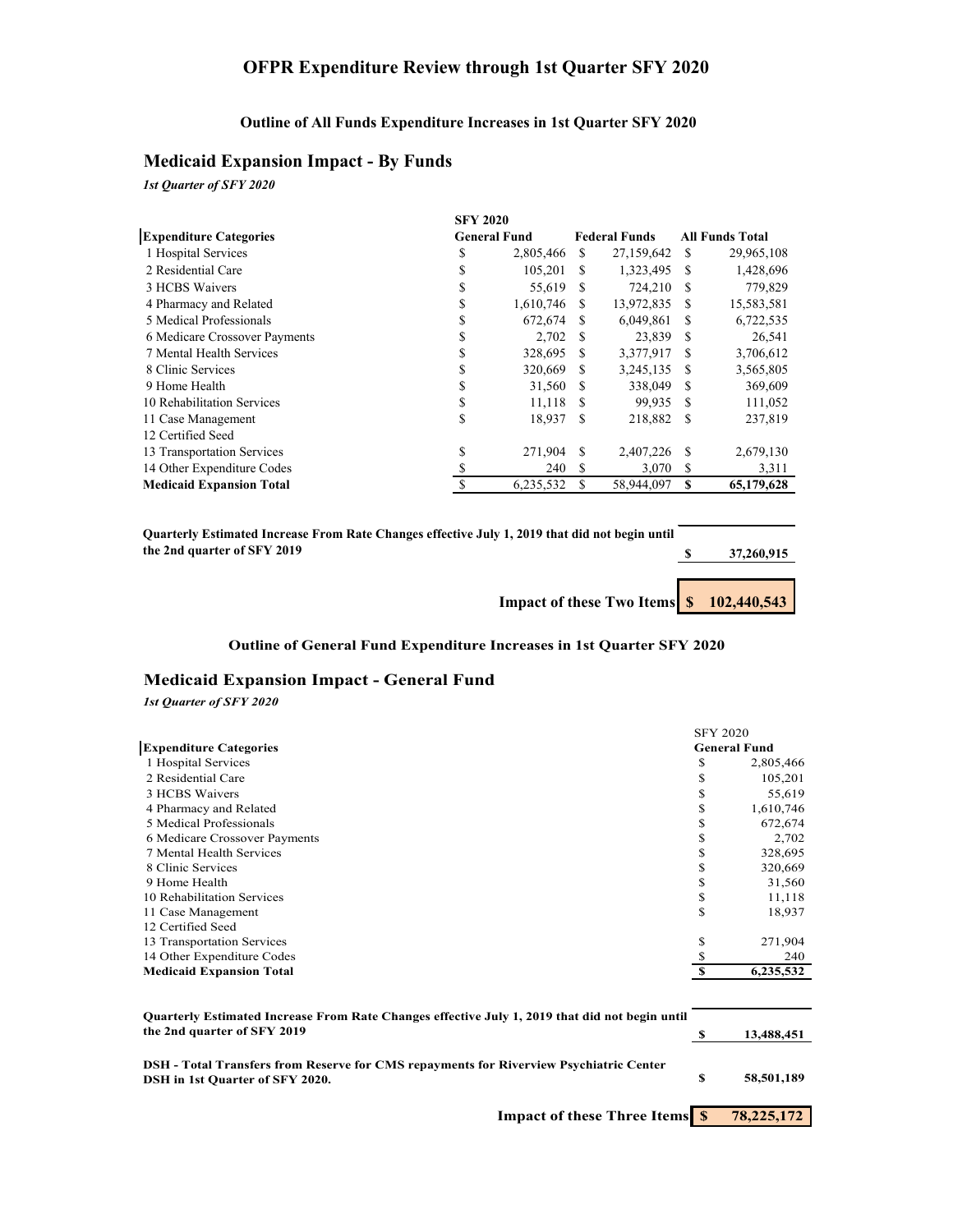# **OFPR Expenditure Review through 1st Quarter SFY 2020**

#### **Outline of All Funds Expenditure Increases in 1st Quarter SFY 2020**

### **Medicaid Expansion Impact - By Funds**

*1st Quarter of SFY 2020*

|                                 |    | <b>SFY 2020</b>     |               |                      |          |                        |
|---------------------------------|----|---------------------|---------------|----------------------|----------|------------------------|
| <b>Expenditure Categories</b>   |    | <b>General Fund</b> |               | <b>Federal Funds</b> |          | <b>All Funds Total</b> |
| 1 Hospital Services             | S  | 2,805,466           | <sup>\$</sup> | 27,159,642           | S        | 29,965,108             |
| 2 Residential Care              | \$ | 105,201             | S             | 1,323,495            | S        | 1,428,696              |
| 3 HCBS Waivers                  | \$ | 55,619              | - \$          | 724,210              | S        | 779,829                |
| 4 Pharmacy and Related          | \$ | 1,610,746           | S             | 13,972,835           | <b>S</b> | 15,583,581             |
| 5 Medical Professionals         |    | 672,674             | -S            | 6,049,861            | <b>S</b> | 6,722,535              |
| 6 Medicare Crossover Payments   | ъ  | 2.702               | - \$          | 23,839               | <b>S</b> | 26,541                 |
| 7 Mental Health Services        | ъ  | 328,695             | -S            | 3,377,917            | S        | 3,706,612              |
| 8 Clinic Services               | ъ  | 320,669             | <b>S</b>      | 3,245,135            | -S       | 3,565,805              |
| 9 Home Health                   | \$ | 31,560              | -S            | 338,049              | <b>S</b> | 369,609                |
| 10 Rehabilitation Services      | \$ | 11,118              | -S            | 99,935               | <b>S</b> | 111,052                |
| 11 Case Management              | \$ | 18.937              | \$.           | 218,882              | -S       | 237,819                |
| 12 Certified Seed               |    |                     |               |                      |          |                        |
| 13 Transportation Services      | \$ | 271,904             | \$.           | 2,407,226            | S        | 2,679,130              |
| 14 Other Expenditure Codes      |    | 240                 | S             | 3,070                | S        | 3,311                  |
| <b>Medicaid Expansion Total</b> |    | 6,235,532           |               | 58,944,097           |          | 65,179,628             |

| Ouarterly Estimated Increase From Rate Changes effective July 1, 2019 that did not begin until |            |
|------------------------------------------------------------------------------------------------|------------|
| the 2nd quarter of SFY 2019                                                                    | 37,260,915 |
|                                                                                                |            |
|                                                                                                |            |

**Impact of these Two Items**  $\frac{\$}{\$}$  **<b>102,440,543** 

#### **Outline of General Fund Expenditure Increases in 1st Quarter SFY 2020**

#### **Medicaid Expansion Impact - General Fund**

#### *1st Quarter of SFY 2020*

|                                 | <b>SFY 2020</b> |                     |
|---------------------------------|-----------------|---------------------|
| <b>Expenditure Categories</b>   |                 | <b>General Fund</b> |
| 1 Hospital Services             | S               | 2,805,466           |
| 2 Residential Care              | \$              | 105,201             |
| 3 HCBS Waivers                  | \$              | 55,619              |
| 4 Pharmacy and Related          | \$              | 1,610,746           |
| 5 Medical Professionals         | C               | 672,674             |
| 6 Medicare Crossover Payments   | C               | 2,702               |
| 7 Mental Health Services        | \$              | 328,695             |
| 8 Clinic Services               |                 | 320,669             |
| 9 Home Health                   | ъ.              | 31,560              |
| 10 Rehabilitation Services      | \$              | 11,118              |
| 11 Case Management              | \$              | 18,937              |
| 12 Certified Seed               |                 |                     |
| 13 Transportation Services      | \$              | 271,904             |
| 14 Other Expenditure Codes      |                 | 240                 |
| <b>Medicaid Expansion Total</b> |                 | 6,235,532           |

| Quarterly Estimated Increase From Rate Changes effective July 1, 2019 that did not begin until<br>the 2nd quarter of SFY 2019 |    | 13,488,451 |
|-------------------------------------------------------------------------------------------------------------------------------|----|------------|
| DSH - Total Transfers from Reserve for CMS repayments for Riverview Psychiatric Center<br>DSH in 1st Quarter of SFY 2020.     | -S | 58,501,189 |

**Impact of these Three Items**  $\frac{\$}{\$}$  **78,225,172**